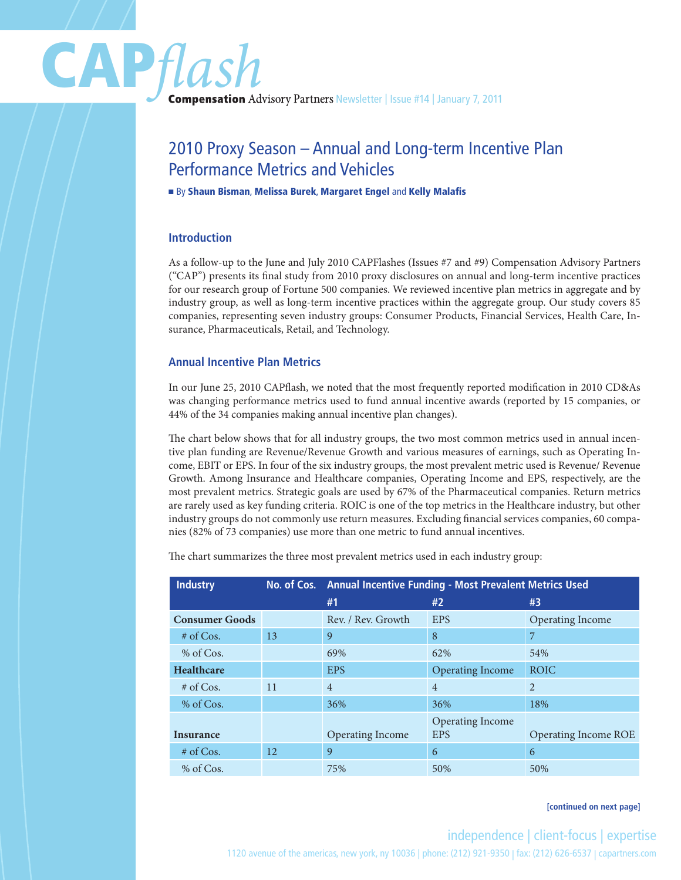# CAP*flash*<br>
Compensation Advisory Partners Newsletter | Issue #14 | January 7, 2011

# 2010 Proxy Season – Annual and Long-term Incentive Plan Performance Metrics and Vehicles

#### ■ By Shaun Bisman, Melissa Burek, Margaret Engel and Kelly Malafis

# **Introduction**

As a follow-up to the June and July 2010 CAPFlashes (Issues #7 and #9) Compensation Advisory Partners ("CAP") presents its final study from 2010 proxy disclosures on annual and long-term incentive practices for our research group of Fortune 500 companies. We reviewed incentive plan metrics in aggregate and by industry group, as well as long-term incentive practices within the aggregate group. Our study covers 85 companies, representing seven industry groups: Consumer Products, Financial Services, Health Care, Insurance, Pharmaceuticals, Retail, and Technology.

# **Annual Incentive Plan Metrics**

In our June 25, 2010 CAPflash, we noted that the most frequently reported modification in 2010 CD&As was changing performance metrics used to fund annual incentive awards (reported by 15 companies, or 44% of the 34 companies making annual incentive plan changes).

The chart below shows that for all industry groups, the two most common metrics used in annual incentive plan funding are Revenue/Revenue Growth and various measures of earnings, such as Operating Income, EBIT or EPS. In four of the six industry groups, the most prevalent metric used is Revenue/ Revenue Growth. Among Insurance and Healthcare companies, Operating Income and EPS, respectively, are the most prevalent metrics. Strategic goals are used by 67% of the Pharmaceutical companies. Return metrics are rarely used as key funding criteria. ROIC is one of the top metrics in the Healthcare industry, but other industry groups do not commonly use return measures. Excluding financial services companies, 60 companies (82% of 73 companies) use more than one metric to fund annual incentives.

The chart summarizes the three most prevalent metrics used in each industry group:

| <b>Industry</b>       |    | No. of Cos. Annual Incentive Funding - Most Prevalent Metrics Used |                         |                             |
|-----------------------|----|--------------------------------------------------------------------|-------------------------|-----------------------------|
|                       |    | #1                                                                 | #2                      | #3                          |
| <b>Consumer Goods</b> |    | Rev. / Rev. Growth                                                 | <b>EPS</b>              | Operating Income            |
| $#$ of Cos.           | 13 | 9                                                                  | 8                       | 7                           |
| % of Cos.             |    | 69%                                                                | 62%                     | 54%                         |
| <b>Healthcare</b>     |    | <b>EPS</b>                                                         | <b>Operating Income</b> | <b>ROIC</b>                 |
| $#$ of Cos.           | 11 | $\overline{4}$                                                     | $\overline{4}$          | $\overline{2}$              |
| % of Cos.             |    | 36%                                                                | 36%                     | 18%                         |
|                       |    |                                                                    | Operating Income        |                             |
| <b>Insurance</b>      |    | <b>Operating Income</b>                                            | <b>EPS</b>              | <b>Operating Income ROE</b> |
| $#$ of Cos.           | 12 | 9                                                                  | 6                       | 6                           |
| % of Cos.             |    | 75%                                                                | 50%                     | 50%                         |

#### **[continued on next page]**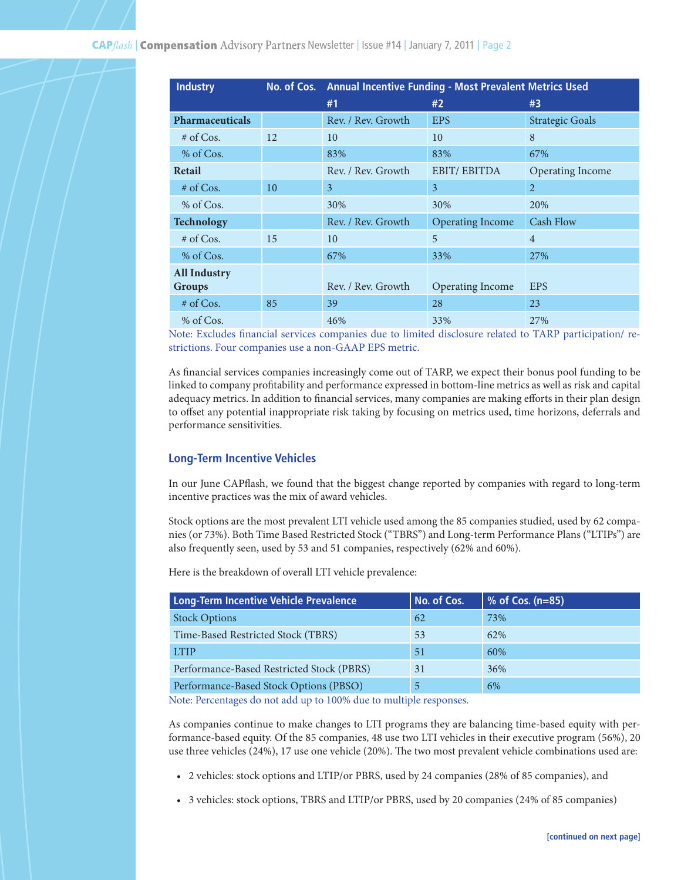| <b>Industry</b>        |    | No. of Cos. Annual Incentive Funding - Most Prevalent Metrics Used |                         |                        |
|------------------------|----|--------------------------------------------------------------------|-------------------------|------------------------|
|                        |    | #1                                                                 | #2                      | #3                     |
| <b>Pharmaceuticals</b> |    | Rev. / Rev. Growth                                                 | <b>EPS</b>              | <b>Strategic Goals</b> |
| $#$ of Cos.            | 12 | 10                                                                 | 10                      | 8                      |
| % of Cos.              |    | 83%                                                                | 83%                     | 67%                    |
| Retail                 |    | Rev. / Rev. Growth                                                 | <b>EBIT/EBITDA</b>      | Operating Income       |
| $#$ of Cos.            | 10 | 3                                                                  | 3                       | $\overline{2}$         |
| $%$ of Cos.            |    | 30%                                                                | 30%                     | 20%                    |
| <b>Technology</b>      |    | Rev. / Rev. Growth                                                 | <b>Operating Income</b> | <b>Cash Flow</b>       |
| $#$ of Cos.            | 15 | 10                                                                 | 5                       | $\overline{4}$         |
| $%$ of Cos.            |    | 67%                                                                | 33%                     | 27%                    |
| <b>All Industry</b>    |    |                                                                    |                         |                        |
| <b>Groups</b>          |    | Rev. / Rev. Growth                                                 | Operating Income        | <b>EPS</b>             |
| $#$ of Cos.            | 85 | 39                                                                 | 28                      | 23                     |
| $%$ of Cos.            |    | 46%                                                                | 33%                     | 27%                    |

Note: Excludes financial services companies due to limited disclosure related to TARP participation/ restrictions. Four companies use a non-GAAP EPS metric.

As financial services companies increasingly come out of TARP, we expect their bonus pool funding to be linked to company profitability and performance expressed in bottom-line metrics as well as risk and capital adequacy metrics. In addition to financial services, many companies are making efforts in their plan design to offset any potential inappropriate risk taking by focusing on metrics used, time horizons, deferrals and performance sensitivities.

#### **Long-Term Incentive Vehicles**

In our June CAPflash, we found that the biggest change reported by companies with regard to long-term incentive practices was the mix of award vehicles.

Stock options are the most prevalent LTI vehicle used among the 85 companies studied, used by 62 companies (or 73%). Both Time Based Restricted Stock ("TBRS") and Long-term Performance Plans ("LTIPs") are also frequently seen, used by 53 and 51 companies, respectively (62% and 60%).

Here is the breakdown of overall LTI vehicle prevalence:

| Long-Term Incentive Vehicle Prevalence    | No. of Cos. | $\%$ of Cos. (n=85) |
|-------------------------------------------|-------------|---------------------|
| <b>Stock Options</b>                      | 62          | 73%                 |
| Time-Based Restricted Stock (TBRS)        | 53          | 62%                 |
| <b>LTIP</b>                               | 51          | 60%                 |
| Performance-Based Restricted Stock (PBRS) | 31          | 36%                 |
| Performance-Based Stock Options (PBSO)    | 5           | 6%                  |

Note: Percentages do not add up to 100% due to multiple responses.

As companies continue to make changes to LTI programs they are balancing time-based equity with performance-based equity. Of the 85 companies, 48 use two LTI vehicles in their executive program (56%), 20 use three vehicles (24%), 17 use one vehicle (20%). The two most prevalent vehicle combinations used are:

- • 2 vehicles: stock options and LTIP/or PBRS, used by 24 companies (28% of 85 companies), and
- • 3 vehicles: stock options, TBRS and LTIP/or PBRS, used by 20 companies (24% of 85 companies)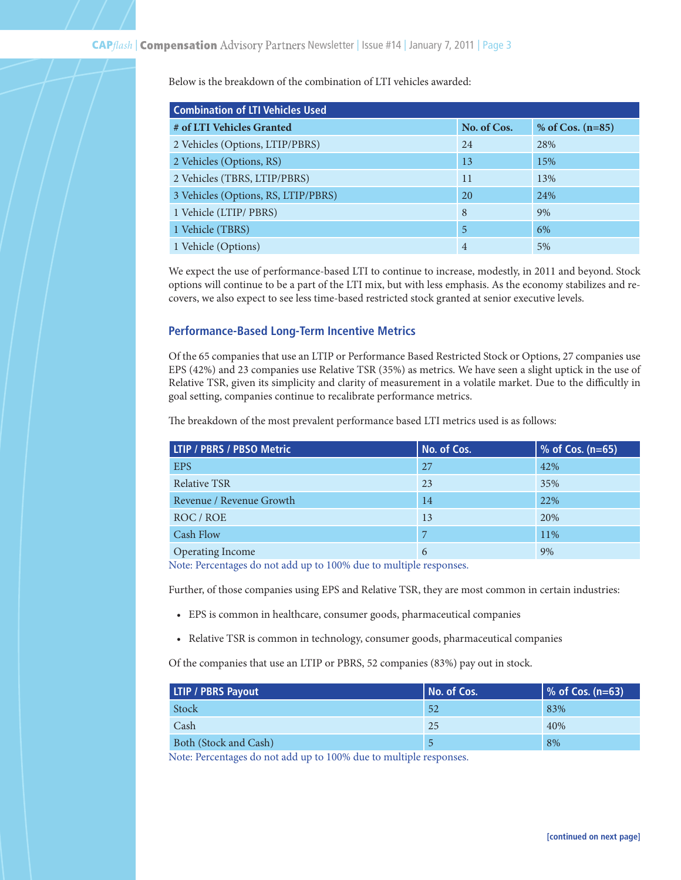# Below is the breakdown of the combination of LTI vehicles awarded:

| <b>Combination of LTI Vehicles Used</b> |                |                    |  |
|-----------------------------------------|----------------|--------------------|--|
| # of LTI Vehicles Granted               | No. of Cos.    | % of Cos. $(n=85)$ |  |
| 2 Vehicles (Options, LTIP/PBRS)         | 24             | 28%                |  |
| 2 Vehicles (Options, RS)                | 13             | 15%                |  |
| 2 Vehicles (TBRS, LTIP/PBRS)            | 11             | 13%                |  |
| 3 Vehicles (Options, RS, LTIP/PBRS)     | 20             | 24%                |  |
| 1 Vehicle (LTIP/ PBRS)                  | 8              | 9%                 |  |
| 1 Vehicle (TBRS)                        | 5              | 6%                 |  |
| 1 Vehicle (Options)                     | $\overline{4}$ | 5%                 |  |

We expect the use of performance-based LTI to continue to increase, modestly, in 2011 and beyond. Stock options will continue to be a part of the LTI mix, but with less emphasis. As the economy stabilizes and recovers, we also expect to see less time-based restricted stock granted at senior executive levels.

#### **Performance-Based Long-Term Incentive Metrics**

Of the 65 companies that use an LTIP or Performance Based Restricted Stock or Options, 27 companies use EPS (42%) and 23 companies use Relative TSR (35%) as metrics. We have seen a slight uptick in the use of Relative TSR, given its simplicity and clarity of measurement in a volatile market. Due to the difficultly in goal setting, companies continue to recalibrate performance metrics.

The breakdown of the most prevalent performance based LTI metrics used is as follows:

| <b>LTIP / PBRS / PBSO Metric</b> | No. of Cos. | $%$ of Cos. (n=65) |
|----------------------------------|-------------|--------------------|
| <b>EPS</b>                       | 27          | 42%                |
| <b>Relative TSR</b>              | 23          | 35%                |
| Revenue / Revenue Growth         | 14          | 22%                |
| ROC/ROE                          | 13          | 20%                |
| Cash Flow                        | 7           | 11%                |
| Operating Income                 | 6           | 9%                 |

Note: Percentages do not add up to 100% due to multiple responses.

Further, of those companies using EPS and Relative TSR, they are most common in certain industries:

- • EPS is common in healthcare, consumer goods, pharmaceutical companies
- Relative TSR is common in technology, consumer goods, pharmaceutical companies

Of the companies that use an LTIP or PBRS, 52 companies (83%) pay out in stock.

| <b>LTIP / PBRS Payout</b> | No. of Cos. | $\sqrt{6}$ of Cos. (n=63) |
|---------------------------|-------------|---------------------------|
| Stock                     | 52          | 83%                       |
| Cash                      | 25          | 40%                       |
| Both (Stock and Cash)     |             | 8%                        |

Note: Percentages do not add up to 100% due to multiple responses.